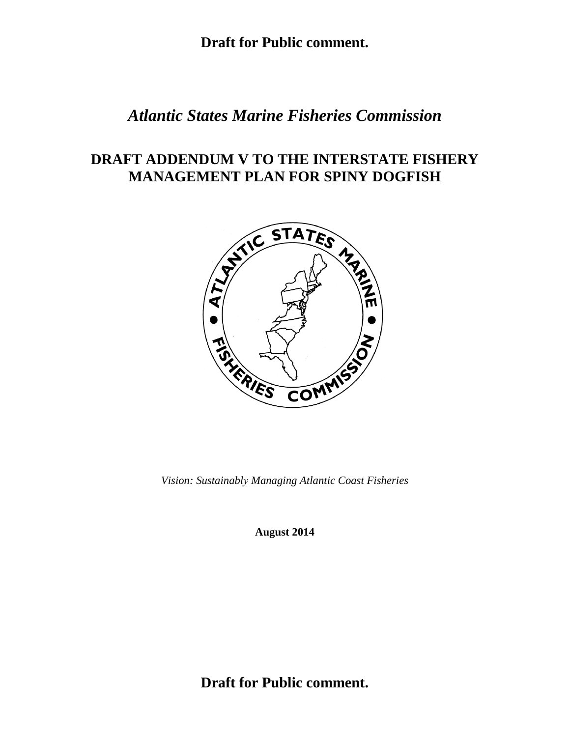## *Atlantic States Marine Fisheries Commission*

# **DRAFT ADDENDUM V TO THE INTERSTATE FISHERY MANAGEMENT PLAN FOR SPINY DOGFISH**



*Vision: Sustainably Managing Atlantic Coast Fisheries* 

**August 2014** 

**Draft for Public comment.**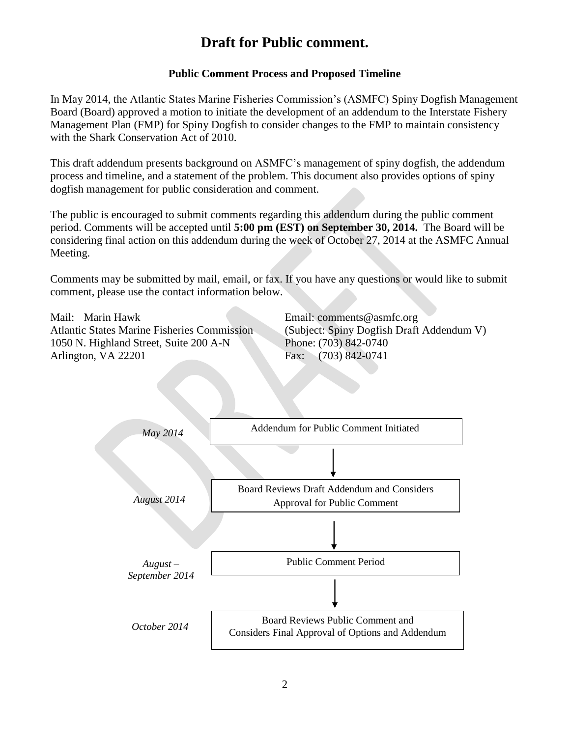## **Public Comment Process and Proposed Timeline**

In May 2014, the Atlantic States Marine Fisheries Commission's (ASMFC) Spiny Dogfish Management Board (Board) approved a motion to initiate the development of an addendum to the Interstate Fishery Management Plan (FMP) for Spiny Dogfish to consider changes to the FMP to maintain consistency with the Shark Conservation Act of 2010.

This draft addendum presents background on ASMFC's management of spiny dogfish, the addendum process and timeline, and a statement of the problem. This document also provides options of spiny dogfish management for public consideration and comment.

The public is encouraged to submit comments regarding this addendum during the public comment period. Comments will be accepted until **5:00 pm (EST) on September 30, 2014.** The Board will be considering final action on this addendum during the week of October 27, 2014 at the ASMFC Annual Meeting.

Comments may be submitted by mail, email, or fax. If you have any questions or would like to submit comment, please use the contact information below.

Mail: Marin Hawk Atlantic States Marine Fisheries Commission 1050 N. Highland Street, Suite 200 A-N Arlington, VA 22201

Email: comments@asmfc.org (Subject: Spiny Dogfish Draft Addendum V) Phone: (703) 842-0740 Fax: (703) 842-0741

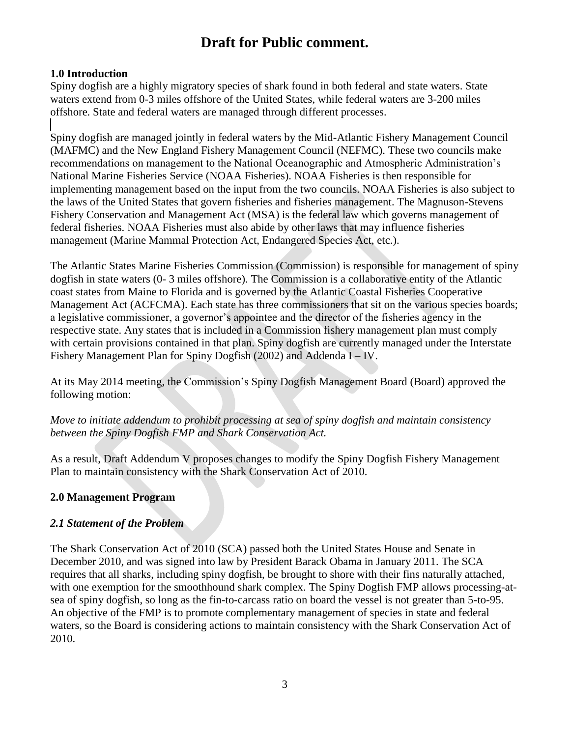## **1.0 Introduction**

Spiny dogfish are a highly migratory species of shark found in both federal and state waters. State waters extend from 0-3 miles offshore of the United States, while federal waters are 3-200 miles offshore. State and federal waters are managed through different processes.

Spiny dogfish are managed jointly in federal waters by the Mid-Atlantic Fishery Management Council (MAFMC) and the New England Fishery Management Council (NEFMC). These two councils make recommendations on management to the National Oceanographic and Atmospheric Administration's National Marine Fisheries Service (NOAA Fisheries). NOAA Fisheries is then responsible for implementing management based on the input from the two councils. NOAA Fisheries is also subject to the laws of the United States that govern fisheries and fisheries management. The Magnuson-Stevens Fishery Conservation and Management Act (MSA) is the federal law which governs management of federal fisheries. NOAA Fisheries must also abide by other laws that may influence fisheries management (Marine Mammal Protection Act, Endangered Species Act, etc.).

The Atlantic States Marine Fisheries Commission (Commission) is responsible for management of spiny dogfish in state waters (0- 3 miles offshore). The Commission is a collaborative entity of the Atlantic coast states from Maine to Florida and is governed by the Atlantic Coastal Fisheries Cooperative Management Act (ACFCMA). Each state has three commissioners that sit on the various species boards; a legislative commissioner, a governor's appointee and the director of the fisheries agency in the respective state. Any states that is included in a Commission fishery management plan must comply with certain provisions contained in that plan. Spiny dogfish are currently managed under the Interstate Fishery Management Plan for Spiny Dogfish (2002) and Addenda I – IV.

At its May 2014 meeting, the Commission's Spiny Dogfish Management Board (Board) approved the following motion:

*Move to initiate addendum to prohibit processing at sea of spiny dogfish and maintain consistency between the Spiny Dogfish FMP and Shark Conservation Act.* 

As a result, Draft Addendum V proposes changes to modify the Spiny Dogfish Fishery Management Plan to maintain consistency with the Shark Conservation Act of 2010.

### **2.0 Management Program**

### *2.1 Statement of the Problem*

The Shark Conservation Act of 2010 (SCA) passed both the United States House and Senate in December 2010, and was signed into law by President Barack Obama in January 2011. The SCA requires that all sharks, including spiny dogfish, be brought to shore with their fins naturally attached, with one exemption for the smoothhound shark complex. The Spiny Dogfish FMP allows processing-atsea of spiny dogfish, so long as the fin-to-carcass ratio on board the vessel is not greater than 5-to-95. An objective of the FMP is to promote complementary management of species in state and federal waters, so the Board is considering actions to maintain consistency with the Shark Conservation Act of 2010.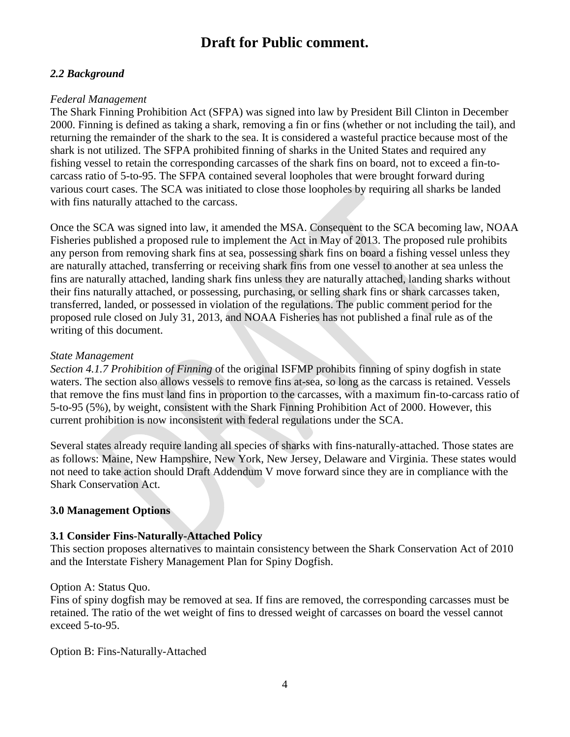### *2.2 Background*

#### *Federal Management*

The Shark Finning Prohibition Act (SFPA) was signed into law by President Bill Clinton in December 2000. Finning is defined as taking a shark, removing a fin or fins (whether or not including the tail), and returning the remainder of the shark to the sea. It is considered a wasteful practice because most of the shark is not utilized. The SFPA prohibited finning of sharks in the United States and required any fishing vessel to retain the corresponding carcasses of the shark fins on board, not to exceed a fin-tocarcass ratio of 5-to-95. The SFPA contained several loopholes that were brought forward during various court cases. The SCA was initiated to close those loopholes by requiring all sharks be landed with fins naturally attached to the carcass.

Once the SCA was signed into law, it amended the MSA. Consequent to the SCA becoming law, NOAA Fisheries published a proposed rule to implement the Act in May of 2013. The proposed rule prohibits any person from removing shark fins at sea, possessing shark fins on board a fishing vessel unless they are naturally attached, transferring or receiving shark fins from one vessel to another at sea unless the fins are naturally attached, landing shark fins unless they are naturally attached, landing sharks without their fins naturally attached, or possessing, purchasing, or selling shark fins or shark carcasses taken, transferred, landed, or possessed in violation of the regulations. The public comment period for the proposed rule closed on July 31, 2013, and NOAA Fisheries has not published a final rule as of the writing of this document.

#### *State Management*

*Section 4.1.7 Prohibition of Finning* of the original ISFMP prohibits finning of spiny dogfish in state waters. The section also allows vessels to remove fins at-sea, so long as the carcass is retained. Vessels that remove the fins must land fins in proportion to the carcasses, with a maximum fin-to-carcass ratio of 5-to-95 (5%), by weight, consistent with the Shark Finning Prohibition Act of 2000. However, this current prohibition is now inconsistent with federal regulations under the SCA.

Several states already require landing all species of sharks with fins-naturally-attached. Those states are as follows: Maine, New Hampshire, New York, New Jersey, Delaware and Virginia. These states would not need to take action should Draft Addendum V move forward since they are in compliance with the Shark Conservation Act.

#### **3.0 Management Options**

#### **3.1 Consider Fins-Naturally-Attached Policy**

This section proposes alternatives to maintain consistency between the Shark Conservation Act of 2010 and the Interstate Fishery Management Plan for Spiny Dogfish.

#### Option A: Status Quo.

Fins of spiny dogfish may be removed at sea. If fins are removed, the corresponding carcasses must be retained. The ratio of the wet weight of fins to dressed weight of carcasses on board the vessel cannot exceed 5-to-95.

Option B: Fins-Naturally-Attached